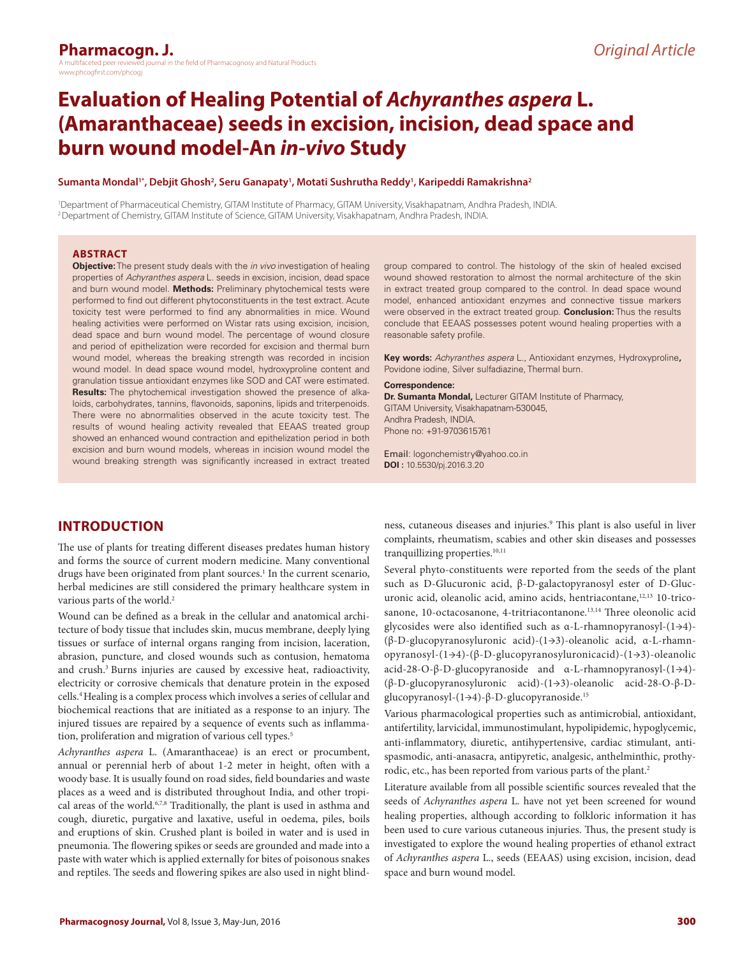# **Pharmacogn. J.**

a the field of Pharmacognosy and Natural Products www.phcogfirst.com/phcogi

# **Evaluation of Healing Potential of** *Achyranthes aspera* **L. (Amaranthaceae) seeds in excision, incision, dead space and burn wound model-An** *in-vivo* **Study**

#### **Sumanta Mondal1\*, Debjit Ghosh2 , Seru Ganapaty1 , Motati Sushrutha Reddy1 , Karipeddi Ramakrishna2**

1 Department of Pharmaceutical Chemistry, GITAM Institute of Pharmacy, GITAM University, Visakhapatnam, Andhra Pradesh, INDIA. 2 Department of Chemistry, GITAM Institute of Science, GITAM University, Visakhapatnam, Andhra Pradesh, INDIA.

#### **ABSTRACT**

**Objective:** The present study deals with the *in vivo* investigation of healing properties of *Achyranthes aspera* L. seeds in excision, incision, dead space and burn wound model. **Methods:** Preliminary phytochemical tests were performed to find out different phytoconstituents in the test extract. Acute toxicity test were performed to find any abnormalities in mice. Wound healing activities were performed on Wistar rats using excision, incision, dead space and burn wound model. The percentage of wound closure and period of epithelization were recorded for excision and thermal burn wound model, whereas the breaking strength was recorded in incision wound model. In dead space wound model, hydroxyproline content and granulation tissue antioxidant enzymes like SOD and CAT were estimated. **Results:** The phytochemical investigation showed the presence of alkaloids, carbohydrates, tannins, flavonoids, saponins, lipids and triterpenoids. There were no abnormalities observed in the acute toxicity test. The results of wound healing activity revealed that EEAAS treated group showed an enhanced wound contraction and epithelization period in both excision and burn wound models, whereas in incision wound model the wound breaking strength was significantly increased in extract treated

group compared to control. The histology of the skin of healed excised wound showed restoration to almost the normal architecture of the skin in extract treated group compared to the control. In dead space wound model, enhanced antioxidant enzymes and connective tissue markers were observed in the extract treated group. **Conclusion:** Thus the results conclude that EEAAS possesses potent wound healing properties with a reasonable safety profile.

**Key words:** *Achyranthes aspera* L., Antioxidant enzymes, Hydroxyproline**,**  Povidone iodine, Silver sulfadiazine, Thermal burn.

#### **Correspondence:**

**Dr. Sumanta Mondal,** Lecturer GITAM Institute of Pharmacy, GITAM University, Visakhapatnam-530045, Andhra Pradesh, INDIA. Phone no: +91-9703615761

Email: logonchemistry@yahoo.co.in **DOI :** 10.5530/pj.2016.3.20

# **INTRODUCTION**

The use of plants for treating different diseases predates human history and forms the source of current modern medicine. Many conventional drugs have been originated from plant sources.<sup>1</sup> In the current scenario, herbal medicines are still considered the primary healthcare system in various parts of the world.<sup>2</sup>

Wound can be defined as a break in the cellular and anatomical architecture of body tissue that includes skin, mucus membrane, deeply lying tissues or surface of internal organs ranging from incision, laceration, abrasion, puncture, and closed wounds such as contusion, hematoma and crush.3 Burns injuries are caused by excessive heat, radioactivity, electricity or corrosive chemicals that denature protein in the exposed cells.4 Healing is a complex process which involves a series of cellular and biochemical reactions that are initiated as a response to an injury. The injured tissues are repaired by a sequence of events such as inflammation, proliferation and migration of various cell types.<sup>5</sup>

*Achyranthes aspera* L. (Amaranthaceae) is an erect or procumbent, annual or perennial herb of about 1-2 meter in height, often with a woody base. It is usually found on road sides, field boundaries and waste places as a weed and is distributed throughout India, and other tropical areas of the world.<sup>6,7,8</sup> Traditionally, the plant is used in asthma and cough, diuretic, purgative and laxative, useful in oedema, piles, boils and eruptions of skin. Crushed plant is boiled in water and is used in pneumonia. The flowering spikes or seeds are grounded and made into a paste with water which is applied externally for bites of poisonous snakes and reptiles. The seeds and flowering spikes are also used in night blindness, cutaneous diseases and injuries.9 This plant is also useful in liver complaints, rheumatism, scabies and other skin diseases and possesses tranquillizing properties.<sup>10,11</sup>

Several phyto-constituents were reported from the seeds of the plant such as D-Glucuronic acid, β-D-galactopyranosyl ester of D-Glucuronic acid, oleanolic acid, amino acids, hentriacontane,<sup>12,13</sup> 10-tricosanone, 10-octacosanone, 4-tritriacontanone.<sup>13,14</sup> Three oleonolic acid glycosides were also identified such as α-L-rhamnopyranosyl-(1→4)- (β-D-glucopyranosyluronic acid)-(1→3)-oleanolic acid, α-L-rhamnopyranosyl-(1→4)-(β-D-glucopyranosyluronicacid)-(1→3)-oleanolic acid-28-O-β-D-glucopyranoside and α-L-rhamnopyranosyl-(1→4)- (β-D-glucopyranosyluronic acid)-(1→3)-oleanolic acid-28-O-β-Dglucopyranosyl-(1→4)-β-D-glucopyranoside.15

Various pharmacological properties such as antimicrobial, antioxidant, antifertility, larvicidal, immunostimulant, hypolipidemic, hypoglycemic, anti-inflammatory, diuretic, antihypertensive, cardiac stimulant, antispasmodic, anti-anasacra, antipyretic, analgesic, anthelminthic, prothyrodic, etc., has been reported from various parts of the plant.<sup>2</sup>

Literature available from all possible scientific sources revealed that the seeds of *Achyranthes aspera* L. have not yet been screened for wound healing properties, although according to folkloric information it has been used to cure various cutaneous injuries. Thus, the present study is investigated to explore the wound healing properties of ethanol extract of *Achyranthes aspera* L., seeds (EEAAS) using excision, incision, dead space and burn wound model.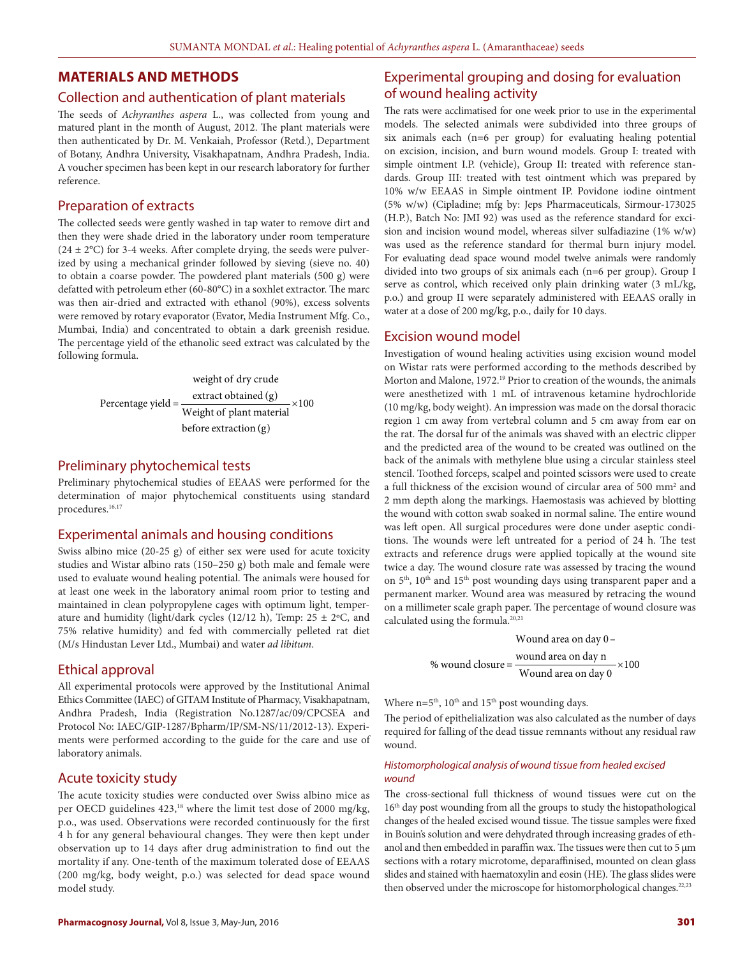# **MATERIALS AND METHODS**

## Collection and authentication of plant materials

The seeds of *Achyranthes aspera* L., was collected from young and matured plant in the month of August, 2012. The plant materials were then authenticated by Dr. M. Venkaiah, Professor (Retd.), Department of Botany, Andhra University, Visakhapatnam, Andhra Pradesh, India. A voucher specimen has been kept in our research laboratory for further reference.

## Preparation of extracts

The collected seeds were gently washed in tap water to remove dirt and then they were shade dried in the laboratory under room temperature  $(24 \pm 2$ °C) for 3-4 weeks. After complete drying, the seeds were pulverized by using a mechanical grinder followed by sieving (sieve no. 40) to obtain a coarse powder. The powdered plant materials (500 g) were defatted with petroleum ether (60-80°C) in a soxhlet extractor. The marc was then air-dried and extracted with ethanol (90%), excess solvents were removed by rotary evaporator (Evator, Media Instrument Mfg. Co., Mumbai, India) and concentrated to obtain a dark greenish residue. The percentage yield of the ethanolic seed extract was calculated by the following formula.

weight of dry crude  
Percentage yield = 
$$
\frac{\text{extract obtained (g)}}{\text{Weight of plant material}} \times 100
$$
before extraction (g)

#### Preliminary phytochemical tests

Preliminary phytochemical studies of EEAAS were performed for the determination of major phytochemical constituents using standard procedures.<sup>16,17</sup>

# Experimental animals and housing conditions

Swiss albino mice (20-25 g) of either sex were used for acute toxicity studies and Wistar albino rats (150–250 g) both male and female were used to evaluate wound healing potential. The animals were housed for at least one week in the laboratory animal room prior to testing and maintained in clean polypropylene cages with optimum light, temperature and humidity (light/dark cycles (12/12 h), Temp:  $25 \pm 2$ °C, and 75% relative humidity) and fed with commercially pelleted rat diet (M/s Hindustan Lever Ltd., Mumbai) and water *ad libitum*.

## Ethical approval

All experimental protocols were approved by the Institutional Animal Ethics Committee (IAEC) of GITAM Institute of Pharmacy, Visakhapatnam, Andhra Pradesh, India (Registration No.1287/ac/09/CPCSEA and Protocol No: IAEC/GIP-1287/Bpharm/IP/SM-NS/11/2012-13). Experiments were performed according to the guide for the care and use of laboratory animals.

#### Acute toxicity study

The acute toxicity studies were conducted over Swiss albino mice as per OECD guidelines 423,<sup>18</sup> where the limit test dose of 2000 mg/kg, p.o., was used. Observations were recorded continuously for the first 4 h for any general behavioural changes. They were then kept under observation up to 14 days after drug administration to find out the mortality if any. One-tenth of the maximum tolerated dose of EEAAS (200 mg/kg, body weight, p.o.) was selected for dead space wound model study.

The rats were acclimatised for one week prior to use in the experimental models. The selected animals were subdivided into three groups of six animals each (n=6 per group) for evaluating healing potential on excision, incision, and burn wound models. Group I: treated with simple ointment I.P. (vehicle), Group II: treated with reference standards. Group III: treated with test ointment which was prepared by 10% w/w EEAAS in Simple ointment IP. Povidone iodine ointment (5% w/w) (Cipladine; mfg by: Jeps Pharmaceuticals, Sirmour-173025 (H.P.), Batch No: JMI 92) was used as the reference standard for excision and incision wound model, whereas silver sulfadiazine (1% w/w) was used as the reference standard for thermal burn injury model. For evaluating dead space wound model twelve animals were randomly divided into two groups of six animals each (n=6 per group). Group I serve as control, which received only plain drinking water (3 mL/kg, p.o.) and group II were separately administered with EEAAS orally in water at a dose of 200 mg/kg, p.o., daily for 10 days.

## Excision wound model

Investigation of wound healing activities using excision wound model on Wistar rats were performed according to the methods described by Morton and Malone, 1972.<sup>19</sup> Prior to creation of the wounds, the animals were anesthetized with 1 mL of intravenous ketamine hydrochloride (10 mg/kg, body weight). An impression was made on the dorsal thoracic region 1 cm away from vertebral column and 5 cm away from ear on the rat. The dorsal fur of the animals was shaved with an electric clipper and the predicted area of the wound to be created was outlined on the back of the animals with methylene blue using a circular stainless steel stencil. Toothed forceps, scalpel and pointed scissors were used to create a full thickness of the excision wound of circular area of 500 mm<sup>2</sup> and 2 mm depth along the markings. Haemostasis was achieved by blotting the wound with cotton swab soaked in normal saline. The entire wound was left open. All surgical procedures were done under aseptic conditions. The wounds were left untreated for a period of 24 h. The test extracts and reference drugs were applied topically at the wound site twice a day. The wound closure rate was assessed by tracing the wound on 5th, 10th and 15th post wounding days using transparent paper and a permanent marker. Wound area was measured by retracing the wound on a millimeter scale graph paper. The percentage of wound closure was calculated using the formula.<sup>20,21</sup>

> Wound area on day 0 – % wound closure =  $\frac{\text{wound area on day n}}{\text{Wound area on day 0}} \times 100$  $=\frac{1}{\sqrt{2\pi}}\frac{1}{\sqrt{2\pi}}\frac{1}{\sqrt{2\pi}}\frac{1}{\sqrt{2\pi}}\times$

Where  $n=5<sup>th</sup>$ ,  $10<sup>th</sup>$  and  $15<sup>th</sup>$  post wounding days.

The period of epithelialization was also calculated as the number of days required for falling of the dead tissue remnants without any residual raw wound.

### *Histomorphological analysis of wound tissue from healed excised wound*

The cross-sectional full thickness of wound tissues were cut on the 16<sup>th</sup> day post wounding from all the groups to study the histopathological changes of the healed excised wound tissue. The tissue samples were fixed in Bouin's solution and were dehydrated through increasing grades of ethanol and then embedded in paraffin wax. The tissues were then cut to 5 μm sections with a rotary microtome, deparaffinised, mounted on clean glass slides and stained with haematoxylin and eosin (HE). The glass slides were then observed under the microscope for histomorphological changes.<sup>22,23</sup>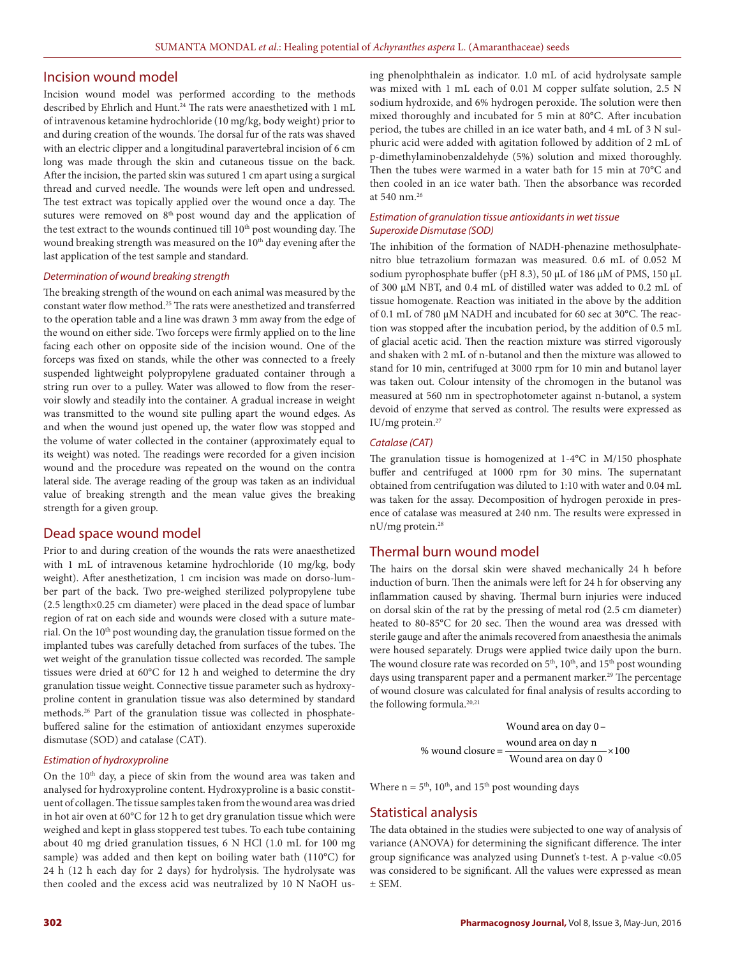#### Incision wound model

Incision wound model was performed according to the methods described by Ehrlich and Hunt.<sup>24</sup> The rats were anaesthetized with 1 mL of intravenous ketamine hydrochloride (10 mg/kg, body weight) prior to and during creation of the wounds. The dorsal fur of the rats was shaved with an electric clipper and a longitudinal paravertebral incision of 6 cm long was made through the skin and cutaneous tissue on the back. After the incision, the parted skin was sutured 1 cm apart using a surgical thread and curved needle. The wounds were left open and undressed. The test extract was topically applied over the wound once a day. The sutures were removed on 8<sup>th</sup> post wound day and the application of the test extract to the wounds continued till 10<sup>th</sup> post wounding day. The wound breaking strength was measured on the 10<sup>th</sup> day evening after the last application of the test sample and standard.

#### *Determination of wound breaking strength*

The breaking strength of the wound on each animal was measured by the constant water flow method.25 The rats were anesthetized and transferred to the operation table and a line was drawn 3 mm away from the edge of the wound on either side. Two forceps were firmly applied on to the line facing each other on opposite side of the incision wound. One of the forceps was fixed on stands, while the other was connected to a freely suspended lightweight polypropylene graduated container through a string run over to a pulley. Water was allowed to flow from the reservoir slowly and steadily into the container. A gradual increase in weight was transmitted to the wound site pulling apart the wound edges. As and when the wound just opened up, the water flow was stopped and the volume of water collected in the container (approximately equal to its weight) was noted. The readings were recorded for a given incision wound and the procedure was repeated on the wound on the contra lateral side. The average reading of the group was taken as an individual value of breaking strength and the mean value gives the breaking strength for a given group.

## Dead space wound model

Prior to and during creation of the wounds the rats were anaesthetized with 1 mL of intravenous ketamine hydrochloride (10 mg/kg, body weight). After anesthetization, 1 cm incision was made on dorso-lumber part of the back. Two pre-weighed sterilized polypropylene tube (2.5 length×0.25 cm diameter) were placed in the dead space of lumbar region of rat on each side and wounds were closed with a suture material. On the 10<sup>th</sup> post wounding day, the granulation tissue formed on the implanted tubes was carefully detached from surfaces of the tubes. The wet weight of the granulation tissue collected was recorded. The sample tissues were dried at 60°C for 12 h and weighed to determine the dry granulation tissue weight. Connective tissue parameter such as hydroxyproline content in granulation tissue was also determined by standard methods.26 Part of the granulation tissue was collected in phosphatebuffered saline for the estimation of antioxidant enzymes superoxide dismutase (SOD) and catalase (CAT).

#### *Estimation of hydroxyproline*

On the 10<sup>th</sup> day, a piece of skin from the wound area was taken and analysed for hydroxyproline content. Hydroxyproline is a basic constituent of collagen. The tissue samples taken from the wound area was dried in hot air oven at 60°C for 12 h to get dry granulation tissue which were weighed and kept in glass stoppered test tubes. To each tube containing about 40 mg dried granulation tissues, 6 N HCl (1.0 mL for 100 mg sample) was added and then kept on boiling water bath (110°C) for 24 h (12 h each day for 2 days) for hydrolysis. The hydrolysate was then cooled and the excess acid was neutralized by 10 N NaOH using phenolphthalein as indicator. 1.0 mL of acid hydrolysate sample was mixed with 1 mL each of 0.01 M copper sulfate solution, 2.5 N sodium hydroxide, and 6% hydrogen peroxide. The solution were then mixed thoroughly and incubated for 5 min at 80°C. After incubation period, the tubes are chilled in an ice water bath, and 4 mL of 3 N sulphuric acid were added with agitation followed by addition of 2 mL of p-dimethylaminobenzaldehyde (5%) solution and mixed thoroughly. Then the tubes were warmed in a water bath for 15 min at 70°C and then cooled in an ice water bath. Then the absorbance was recorded at 540 nm.26

#### *Estimation of granulation tissue antioxidants in wet tissue Superoxide Dismutase (SOD)*

The inhibition of the formation of NADH-phenazine methosulphatenitro blue tetrazolium formazan was measured. 0.6 mL of 0.052 M sodium pyrophosphate buffer (pH 8.3), 50 μL of 186 μM of PMS, 150 μL of 300 μM NBT, and 0.4 mL of distilled water was added to 0.2 mL of tissue homogenate. Reaction was initiated in the above by the addition of 0.1 mL of 780 μM NADH and incubated for 60 sec at 30°C. The reaction was stopped after the incubation period, by the addition of 0.5 mL of glacial acetic acid. Then the reaction mixture was stirred vigorously and shaken with 2 mL of n-butanol and then the mixture was allowed to stand for 10 min, centrifuged at 3000 rpm for 10 min and butanol layer was taken out. Colour intensity of the chromogen in the butanol was measured at 560 nm in spectrophotometer against n-butanol, a system devoid of enzyme that served as control. The results were expressed as IU/mg protein.27

#### *Catalase (CAT)*

The granulation tissue is homogenized at 1-4°C in M/150 phosphate buffer and centrifuged at 1000 rpm for 30 mins. The supernatant obtained from centrifugation was diluted to 1:10 with water and 0.04 mL was taken for the assay. Decomposition of hydrogen peroxide in presence of catalase was measured at 240 nm. The results were expressed in nU/mg protein.28

## Thermal burn wound model

The hairs on the dorsal skin were shaved mechanically 24 h before induction of burn. Then the animals were left for 24 h for observing any inflammation caused by shaving. Thermal burn injuries were induced on dorsal skin of the rat by the pressing of metal rod (2.5 cm diameter) heated to 80-85°C for 20 sec. Then the wound area was dressed with sterile gauge and after the animals recovered from anaesthesia the animals were housed separately. Drugs were applied twice daily upon the burn. The wound closure rate was recorded on  $5<sup>th</sup>$ ,  $10<sup>th</sup>$ , and  $15<sup>th</sup>$  post wounding days using transparent paper and a permanent marker.<sup>29</sup> The percentage of wound closure was calculated for final analysis of results according to the following formula.<sup>20,21</sup>

Wound area on day 0–

\n% wound closure = 
$$
\frac{\text{wound area on day n}}{\text{Wound area on day 0}} \times 100
$$

Where  $n = 5<sup>th</sup>$ ,  $10<sup>th</sup>$ , and  $15<sup>th</sup>$  post wounding days

## Statistical analysis

The data obtained in the studies were subjected to one way of analysis of variance (ANOVA) for determining the significant difference. The inter group significance was analyzed using Dunnet's t-test. A p-value <0.05 was considered to be significant. All the values were expressed as mean  $±$  SEM.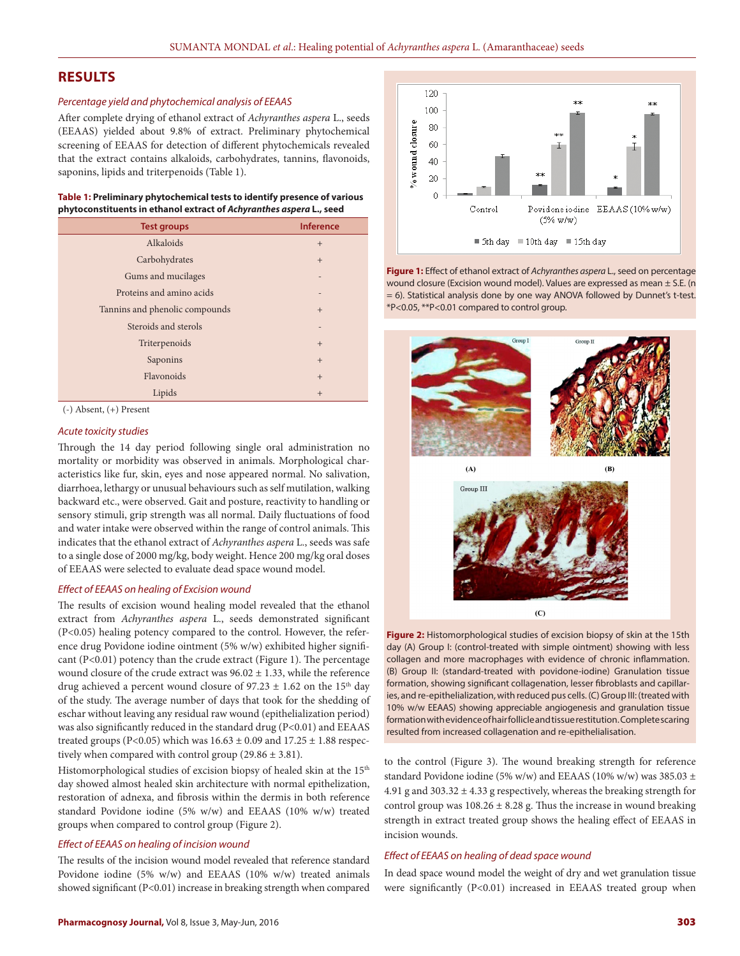# **RESULTS**

#### *Percentage yield and phytochemical analysis of EEAAS*

After complete drying of ethanol extract of *Achyranthes aspera* L., seeds (EEAAS) yielded about 9.8% of extract. Preliminary phytochemical screening of EEAAS for detection of different phytochemicals revealed that the extract contains alkaloids, carbohydrates, tannins, flavonoids, saponins, lipids and triterpenoids (Table 1).

| Table 1: Preliminary phytochemical tests to identify presence of various |
|--------------------------------------------------------------------------|
| phytoconstituents in ethanol extract of Achyranthes aspera L., seed      |

| <b>Test groups</b>             | <b>Inference</b> |
|--------------------------------|------------------|
| Alkaloids                      | $+$              |
| Carbohydrates                  | $+$              |
| Gums and mucilages             |                  |
| Proteins and amino acids       | $\overline{ }$   |
| Tannins and phenolic compounds | $+$              |
| Steroids and sterols           | $\overline{ }$   |
| Triterpenoids                  | $+$              |
| Saponins                       | $+$              |
| Flavonoids                     | $+$              |
| Lipids                         | $+$              |



## *Acute toxicity studies*

Through the 14 day period following single oral administration no mortality or morbidity was observed in animals. Morphological characteristics like fur, skin, eyes and nose appeared normal. No salivation, diarrhoea, lethargy or unusual behaviours such as self mutilation, walking backward etc., were observed. Gait and posture, reactivity to handling or sensory stimuli, grip strength was all normal. Daily fluctuations of food and water intake were observed within the range of control animals. This indicates that the ethanol extract of *Achyranthes aspera* L., seeds was safe to a single dose of 2000 mg/kg, body weight. Hence 200 mg/kg oral doses of EEAAS were selected to evaluate dead space wound model.

#### *Effect of EEAAS on healing of Excision wound*

The results of excision wound healing model revealed that the ethanol extract from *Achyranthes aspera* L., seeds demonstrated significant (P<0.05) healing potency compared to the control. However, the reference drug Povidone iodine ointment (5% w/w) exhibited higher significant  $(P<0.01)$  potency than the crude extract (Figure 1). The percentage wound closure of the crude extract was  $96.02 \pm 1.33$ , while the reference drug achieved a percent wound closure of  $97.23 \pm 1.62$  on the 15<sup>th</sup> day of the study. The average number of days that took for the shedding of eschar without leaving any residual raw wound (epithelialization period) was also significantly reduced in the standard drug (P<0.01) and EEAAS treated groups (P<0.05) which was  $16.63 \pm 0.09$  and  $17.25 \pm 1.88$  respectively when compared with control group  $(29.86 \pm 3.81)$ .

Histomorphological studies of excision biopsy of healed skin at the 15<sup>th</sup> day showed almost healed skin architecture with normal epithelization, restoration of adnexa, and fibrosis within the dermis in both reference standard Povidone iodine (5% w/w) and EEAAS (10% w/w) treated groups when compared to control group (Figure 2).

#### *Effect of EEAAS on healing of incision wound*

The results of the incision wound model revealed that reference standard Povidone iodine (5% w/w) and EEAAS (10% w/w) treated animals showed significant (P<0.01) increase in breaking strength when compared



**Figure 1:** Effect of ethanol extract of *Achyranthes aspera* L., seed on percentage wound closure (Excision wound model). Values are expressed as mean ± S.E. (n = 6). Statistical analysis done by one way ANOVA followed by Dunnet's t-test. \*P<0.05, \*\*P<0.01 compared to control group.



**Figure 2:** Histomorphological studies of excision biopsy of skin at the 15th day (A) Group I: (control-treated with simple ointment) showing with less collagen and more macrophages with evidence of chronic inflammation. (B) Group II: (standard-treated with povidone-iodine) Granulation tissue formation, showing significant collagenation, lesser fibroblasts and capillaries, and re-epithelialization, with reduced pus cells. (C) Group III: (treated with 10% w/w EEAAS) showing appreciable angiogenesis and granulation tissue formation with evidence of hair follicle and tissue restitution. Complete scaring resulted from increased collagenation and re-epithelialisation.

to the control (Figure 3). The wound breaking strength for reference standard Povidone iodine (5% w/w) and EEAAS (10% w/w) was 385.03  $\pm$ 4.91 g and 303.32  $\pm$  4.33 g respectively, whereas the breaking strength for control group was  $108.26 \pm 8.28$  g. Thus the increase in wound breaking strength in extract treated group shows the healing effect of EEAAS in incision wounds.

### *Effect of EEAAS on healing of dead space wound*

In dead space wound model the weight of dry and wet granulation tissue were significantly (P<0.01) increased in EEAAS treated group when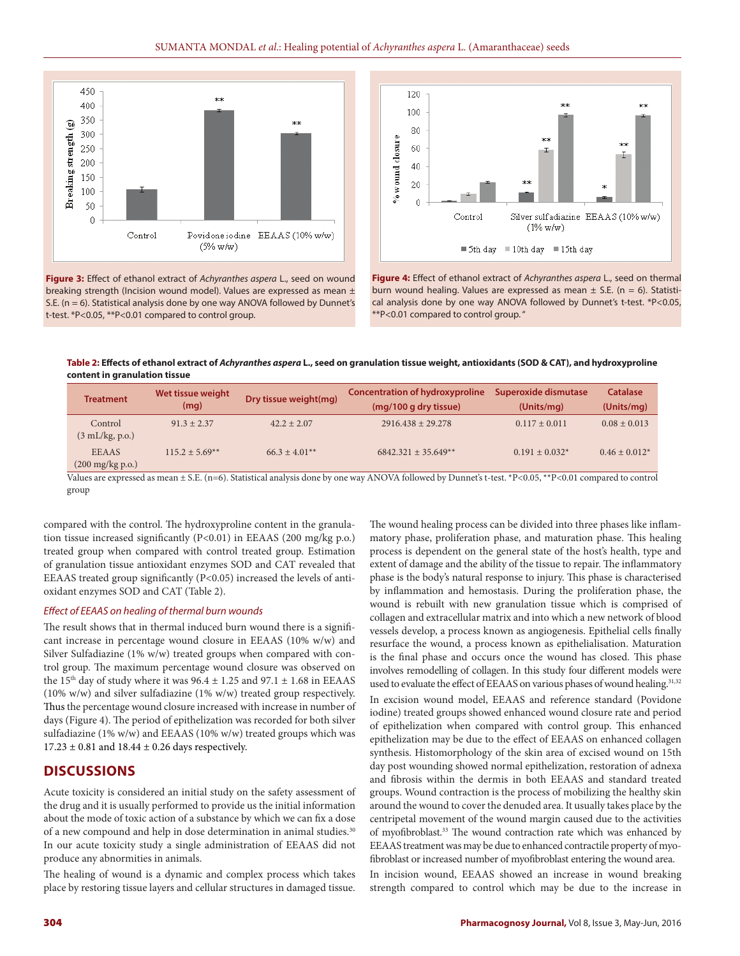

**Figure 3:** Effect of ethanol extract of *Achyranthes aspera* L., seed on wound breaking strength (Incision wound model). Values are expressed as mean ± S.E. (n = 6). Statistical analysis done by one way ANOVA followed by Dunnet's t-test. \*P<0.05, \*\*P<0.01 compared to control group.



**Figure 4:** Effect of ethanol extract of *Achyranthes aspera* L., seed on thermal burn wound healing. Values are expressed as mean  $\pm$  S.E. (n = 6). Statistical analysis done by one way ANOVA followed by Dunnet's t-test. \*P<0.05, \*\*P<0.01 compared to control group. "

**Table 2: Effects of ethanol extract of** *Achyranthes aspera* **L., seed on granulation tissue weight, antioxidants (SOD & CAT), and hydroxyproline content in granulation tissue**

| <b>Treatment</b>                                          | Wet tissue weight<br>(mg) | Dry tissue weight(mg) | <b>Concentration of hydroxyproline</b><br>(mg/100 g dry tissue) | Superoxide dismutase<br>(Units/mg) | Catalase<br>(Units/mq) |
|-----------------------------------------------------------|---------------------------|-----------------------|-----------------------------------------------------------------|------------------------------------|------------------------|
| Control<br>$(3 \text{ mL/kg}, \text{p.o.})$               | $91.3 + 2.37$             | $42.2 + 2.07$         | $2916.438 + 29.278$                                             | $0.117 \pm 0.011$                  | $0.08 \pm 0.013$       |
| <b>EEAAS</b><br>$(200 \frac{\text{mg}}{\text{kg}})$ p.o.) | $115.2 + 5.69**$          | $66.3 + 4.01**$       | $6842.321 + 35.649**$                                           | $0.191 \pm 0.032^*$                | $0.46 \pm 0.012^*$     |

Values are expressed as mean ± S.E. (n=6). Statistical analysis done by one way ANOVA followed by Dunnet's t-test. \*P<0.05, \*\*P<0.01 compared to control group

compared with the control. The hydroxyproline content in the granulation tissue increased significantly (P<0.01) in EEAAS (200 mg/kg p.o.) treated group when compared with control treated group. Estimation of granulation tissue antioxidant enzymes SOD and CAT revealed that EEAAS treated group significantly (P<0.05) increased the levels of antioxidant enzymes SOD and CAT (Table 2).

#### *Effect of EEAAS on healing of thermal burn wounds*

The result shows that in thermal induced burn wound there is a significant increase in percentage wound closure in EEAAS (10% w/w) and Silver Sulfadiazine (1% w/w) treated groups when compared with control group. The maximum percentage wound closure was observed on the 15<sup>th</sup> day of study where it was  $96.4 \pm 1.25$  and  $97.1 \pm 1.68$  in EEAAS (10% w/w) and silver sulfadiazine (1% w/w) treated group respectively. Thus the percentage wound closure increased with increase in number of days (Figure 4). The period of epithelization was recorded for both silver sulfadiazine (1% w/w) and EEAAS (10% w/w) treated groups which was  $17.23 \pm 0.81$  and  $18.44 \pm 0.26$  days respectively.

# **DISCUSSIONS**

Acute toxicity is considered an initial study on the safety assessment of the drug and it is usually performed to provide us the initial information about the mode of toxic action of a substance by which we can fix a dose of a new compound and help in dose determination in animal studies.30 In our acute toxicity study a single administration of EEAAS did not produce any abnormities in animals.

The healing of wound is a dynamic and complex process which takes place by restoring tissue layers and cellular structures in damaged tissue. The wound healing process can be divided into three phases like inflammatory phase, proliferation phase, and maturation phase. This healing process is dependent on the general state of the host's health, type and extent of damage and the ability of the tissue to repair. The inflammatory phase is the body's natural response to injury. This phase is characterised by inflammation and hemostasis. During the proliferation phase, the wound is rebuilt with new granulation tissue which is comprised of collagen and extracellular matrix and into which a new network of blood vessels develop, a process known as angiogenesis. Epithelial cells finally resurface the wound, a process known as epithelialisation. Maturation is the final phase and occurs once the wound has closed. This phase involves remodelling of collagen. In this study four different models were used to evaluate the effect of EEAAS on various phases of wound healing.<sup>31,32</sup>

In excision wound model, EEAAS and reference standard (Povidone iodine) treated groups showed enhanced wound closure rate and period of epithelization when compared with control group. This enhanced epithelization may be due to the effect of EEAAS on enhanced collagen synthesis. Histomorphology of the skin area of excised wound on 15th day post wounding showed normal epithelization, restoration of adnexa and fibrosis within the dermis in both EEAAS and standard treated groups. Wound contraction is the process of mobilizing the healthy skin around the wound to cover the denuded area. It usually takes place by the centripetal movement of the wound margin caused due to the activities of myofibroblast.<sup>33</sup> The wound contraction rate which was enhanced by EEAAS treatment was may be due to enhanced contractile property of myofibroblast or increased number of myofibroblast entering the wound area.

In incision wound, EEAAS showed an increase in wound breaking strength compared to control which may be due to the increase in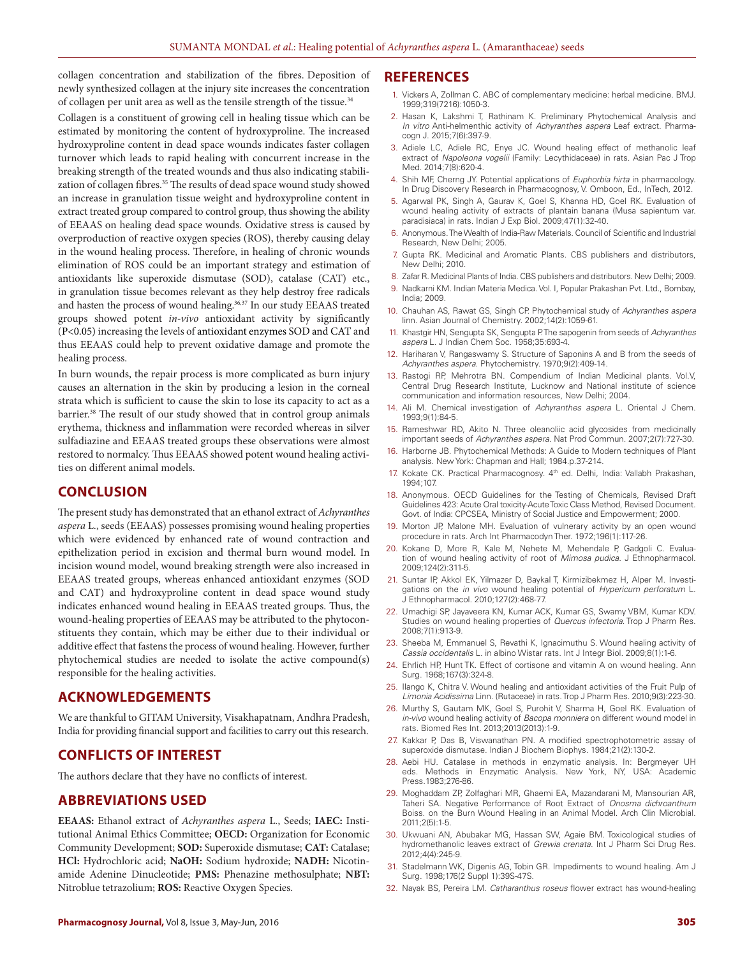collagen concentration and stabilization of the fibres. Deposition of newly synthesized collagen at the injury site increases the concentration of collagen per unit area as well as the tensile strength of the tissue.<sup>34</sup>

Collagen is a constituent of growing cell in healing tissue which can be estimated by monitoring the content of hydroxyproline. The increased hydroxyproline content in dead space wounds indicates faster collagen turnover which leads to rapid healing with concurrent increase in the breaking strength of the treated wounds and thus also indicating stabilization of collagen fibres.<sup>35</sup> The results of dead space wound study showed an increase in granulation tissue weight and hydroxyproline content in extract treated group compared to control group, thus showing the ability of EEAAS on healing dead space wounds. Oxidative stress is caused by overproduction of reactive oxygen species (ROS), thereby causing delay in the wound healing process. Therefore, in healing of chronic wounds elimination of ROS could be an important strategy and estimation of antioxidants like superoxide dismutase (SOD), catalase (CAT) etc., in granulation tissue becomes relevant as they help destroy free radicals and hasten the process of wound healing.<sup>36,37</sup> In our study EEAAS treated groups showed potent *in-vivo* antioxidant activity by significantly (P<0.05) increasing the levels of antioxidant enzymes SOD and CAT and thus EEAAS could help to prevent oxidative damage and promote the healing process.

In burn wounds, the repair process is more complicated as burn injury causes an alternation in the skin by producing a lesion in the corneal strata which is sufficient to cause the skin to lose its capacity to act as a barrier.38 The result of our study showed that in control group animals erythema, thickness and inflammation were recorded whereas in silver sulfadiazine and EEAAS treated groups these observations were almost restored to normalcy. Thus EEAAS showed potent wound healing activities on different animal models.

# **CONCLUSION**

The present study has demonstrated that an ethanol extract of *Achyranthes aspera* L., seeds (EEAAS) possesses promising wound healing properties which were evidenced by enhanced rate of wound contraction and epithelization period in excision and thermal burn wound model. In incision wound model, wound breaking strength were also increased in EEAAS treated groups, whereas enhanced antioxidant enzymes (SOD and CAT) and hydroxyproline content in dead space wound study indicates enhanced wound healing in EEAAS treated groups. Thus, the wound-healing properties of EEAAS may be attributed to the phytoconstituents they contain, which may be either due to their individual or additive effect that fastens the process of wound healing. However, further phytochemical studies are needed to isolate the active compound(s) responsible for the healing activities.

## **ACKNOWLEDGEMENTS**

We are thankful to GITAM University, Visakhapatnam, Andhra Pradesh, India for providing financial support and facilities to carry out this research.

# **CONFLICTS OF INTEREST**

The authors declare that they have no conflicts of interest.

# **ABBREVIATIONS USED**

**EEAAS:** Ethanol extract of *Achyranthes aspera* L., Seeds; **IAEC:** Institutional Animal Ethics Committee; **OECD:** Organization for Economic Community Development; **SOD:** Superoxide dismutase; **CAT:** Catalase; **HCl:** Hydrochloric acid; **NaOH:** Sodium hydroxide; **NADH:** Nicotinamide Adenine Dinucleotide; **PMS:** Phenazine methosulphate; **NBT:**  Nitroblue tetrazolium; **ROS:** Reactive Oxygen Species.

#### **REFERENCES**

- 1. Vickers A, Zollman C. ABC of complementary medicine: herbal medicine. BMJ. 1999;319(7216):1050-3.
- 2. Hasan K, Lakshmi T, Rathinam K. Preliminary Phytochemical Analysis and *In vitro* Anti-helmenthic activity of *Achyranthes aspera* Leaf extract. Pharmacogn J. 2015;7(6):397-9.
- 3. Adiele LC, Adiele RC, Enye JC. Wound healing effect of methanolic leaf extract of *Napoleona vogelii* (Family: Lecythidaceae) in rats. Asian Pac J Trop Med. 2014;7(8):620-4.
- 4. Shih MF, Cherng JY. Potential applications of *Euphorbia hirta* in pharmacology. In Drug Discovery Research in Pharmacognosy, V. Omboon, Ed., InTech, 2012.
- 5. Agarwal PK, Singh A, Gaurav K, Goel S, Khanna HD, Goel RK. Evaluation of wound healing activity of extracts of plantain banana (Musa sapientum var. paradisiaca) in rats. Indian J Exp Biol. 2009;47(1):32-40.
- 6. Anonymous. The Wealth of India-Raw Materials. Council of Scientific and Industrial Research, New Delhi; 2005.
- 7. Gupta RK. Medicinal and Aromatic Plants. CBS publishers and distributors, New Delhi; 2010.
- 8. Zafar R. Medicinal Plants of India. CBS publishers and distributors. New Delhi; 2009.
- 9. Nadkarni KM. Indian Materia Medica. Vol. I, Popular Prakashan Pvt. Ltd., Bombay, India; 2009.
- 10. Chauhan AS, Rawat GS, Singh CP. Phytochemical study of *Achyranthes aspera* linn. Asian Journal of Chemistry. 2002;14(2):1059-61.
- 11. Khastgir HN, Sengupta SK, Sengupta P. The sapogenin from seeds of *Achyranthes aspera* L. J Indian Chem Soc. 1958;35:693-4.
- 12. Hariharan V, Rangaswamy S. Structure of Saponins A and B from the seeds of *Achyranthes aspera*. Phytochemistry. 1970;9(2):409-14.
- 13. Rastogi RP, Mehrotra BN. Compendium of Indian Medicinal plants. Vol.V, Central Drug Research Institute, Lucknow and National institute of science communication and information resources, New Delhi; 2004.
- 14. Ali M. Chemical investigation of *Achyranthes aspera* L. Oriental J Chem. 1993;9(1):84-5.
- Rameshwar RD, Akito N. Three oleanoliic acid glycosides from medicinally important seeds of *Achyranthes aspera*. Nat Prod Commun. 2007;2(7):727-30.
- 16. Harborne JB. Phytochemical Methods: A Guide to Modern techniques of Plant analysis. New York: Chapman and Hall; 1984.p.37-214.
- 17. Kokate CK. Practical Pharmacognosy. 4<sup>th</sup> ed. Delhi, India: Vallabh Prakashan, 1994;107.
- 18. Anonymous. OECD Guidelines for the Testing of Chemicals, Revised Draft Guidelines 423: Acute Oral toxicity-Acute Toxic Class Method, Revised Document. Govt. of India: CPCSEA, Ministry of Social Justice and Empowerment; 2000.
- 19. Morton JP, Malone MH. Evaluation of vulnerary activity by an open wound procedure in rats. Arch Int Pharmacodyn Ther. 1972;196(1):117-26.
- 20. Kokane D, More R, Kale M, Nehete M, Mehendale P, Gadgoli C. Evaluation of wound healing activity of root of *Mimosa pudica*. J Ethnopharmacol. 2009;124(2):311-5.
- 21. Suntar IP, Akkol EK, Yilmazer D, Baykal T, Kirmizibekmez H, Alper M. Investigations on the *in vivo* wound healing potential of *Hypericum perforatum* L. J Ethnopharmacol. 2010;127(2):468-77.
- 22. Umachigi SP, Jayaveera KN, Kumar ACK, Kumar GS, Swamy VBM, Kumar KDV. Studies on wound healing properties of *Quercus infectoria*. Trop J Pharm Res. 2008;7(1):913-9.
- 23. Sheeba M, Emmanuel S, Revathi K, Ignacimuthu S. Wound healing activity of *Cassia occidentalis* L. in albino Wistar rats. Int J Integr Biol. 2009;8(1):1-6.
- 24. Ehrlich HP, Hunt TK. Effect of cortisone and vitamin A on wound healing. Ann Surg. 1968;167(3):324-8.
- 25. Ilango K, Chitra V. Wound healing and antioxidant activities of the Fruit Pulp of *Limonia Acidissima* Linn. (Rutaceae) in rats. Trop J Pharm Res. 2010;9(3):223-30.
- 26. Murthy S, Gautam MK, Goel S, Purohit V, Sharma H, Goel RK. Evaluation of *in-vivo* wound healing activity of *Bacopa monniera* on different wound model in rats. Biomed Res Int. 2013;2013(2013):1-9.
- 27. Kakkar P, Das B, Viswanathan PN. A modified spectrophotometric assay of superoxide dismutase. Indian J Biochem Biophys. 1984;21(2):130-2.
- 28. Aebi HU. Catalase in methods in enzymatic analysis. In: Bergmeyer UH eds. Methods in Enzymatic Analysis. New York, NY, USA: Academic Press.1983;276-86.
- 29. Moghaddam ZP, Zolfaghari MR, Ghaemi EA, Mazandarani M, Mansourian AR, Taheri SA. Negative Performance of Root Extract of *Onosma dichroanthum* Boiss. on the Burn Wound Healing in an Animal Model. Arch Clin Microbial. 2011;2(5):1-5.
- 30. Ukwuani AN, Abubakar MG, Hassan SW, Agaie BM. Toxicological studies of hydromethanolic leaves extract of *Grewia crenata*. Int J Pharm Sci Drug Res. 2012;4(4):245-9.
- 31. Stadelmann WK, Digenis AG, Tobin GR. Impediments to wound healing. Am J Surg. 1998;176(2 Suppl 1):39S-47S.
- 32. Nayak BS, Pereira LM. *Catharanthus roseus* flower extract has wound-healing